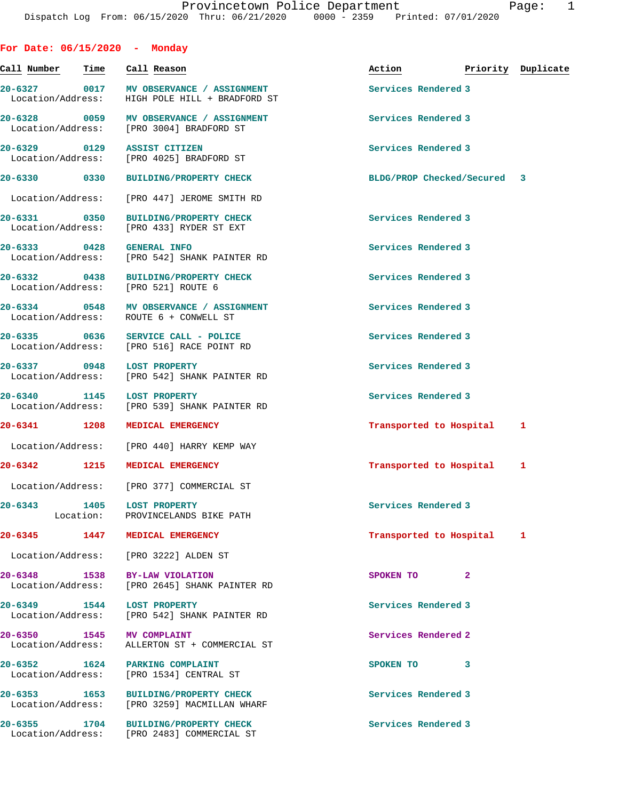**For Date: 06/15/2020 - Monday**

| Call Number                       | Time              | Call Reason                                                                     | Action                      | Priority Duplicate |   |
|-----------------------------------|-------------------|---------------------------------------------------------------------------------|-----------------------------|--------------------|---|
| 20-6327 0017<br>Location/Address: |                   | MV OBSERVANCE / ASSIGNMENT<br>HIGH POLE HILL + BRADFORD ST                      | Services Rendered 3         |                    |   |
| 20-6328 0059                      |                   | MV OBSERVANCE / ASSIGNMENT<br>Location/Address: [PRO 3004] BRADFORD ST          | Services Rendered 3         |                    |   |
| 20-6329 0129<br>Location/Address: |                   | <b>ASSIST CITIZEN</b><br>[PRO 4025] BRADFORD ST                                 | Services Rendered 3         |                    |   |
| 20-6330 0330                      |                   | <b>BUILDING/PROPERTY CHECK</b>                                                  | BLDG/PROP Checked/Secured 3 |                    |   |
| Location/Address:                 |                   | [PRO 447] JEROME SMITH RD                                                       |                             |                    |   |
| 20-6331 0350<br>Location/Address: |                   | <b>BUILDING/PROPERTY CHECK</b><br>[PRO 433] RYDER ST EXT                        | Services Rendered 3         |                    |   |
| 20-6333 0428                      |                   | <b>GENERAL INFO</b><br>Location/Address: [PRO 542] SHANK PAINTER RD             | Services Rendered 3         |                    |   |
| 20-6332 0438                      |                   | <b>BUILDING/PROPERTY CHECK</b><br>Location/Address: [PRO 521] ROUTE 6           | Services Rendered 3         |                    |   |
| 20-6334 0548<br>Location/Address: |                   | MV OBSERVANCE / ASSIGNMENT<br>ROUTE 6 + CONWELL ST                              | Services Rendered 3         |                    |   |
|                                   |                   | 20-6335 0636 SERVICE CALL - POLICE<br>Location/Address: [PRO 516] RACE POINT RD | Services Rendered 3         |                    |   |
| 20-6337 0948                      |                   | <b>LOST PROPERTY</b><br>Location/Address: [PRO 542] SHANK PAINTER RD            | Services Rendered 3         |                    |   |
| Location/Address:                 |                   | 20-6340 1145 LOST PROPERTY<br>[PRO 539] SHANK PAINTER RD                        | Services Rendered 3         |                    |   |
| 20-6341 1208                      |                   | MEDICAL EMERGENCY                                                               | Transported to Hospital     |                    | 1 |
| Location/Address:                 |                   | [PRO 440] HARRY KEMP WAY                                                        |                             |                    |   |
| 20-6342<br>1215                   |                   | MEDICAL EMERGENCY                                                               | Transported to Hospital     |                    | 1 |
|                                   |                   | Location/Address: [PRO 377] COMMERCIAL ST                                       |                             |                    |   |
| 20-6343                           | 1405<br>Location: | LOST PROPERTY<br>PROVINCELANDS BIKE PATH                                        | Services Rendered 3         |                    |   |
| $20 - 6345$                       | 1447              | MEDICAL EMERGENCY                                                               | Transported to Hospital     |                    | 1 |
|                                   |                   | Location/Address: [PRO 3222] ALDEN ST                                           |                             |                    |   |
| 20-6348 1538<br>Location/Address: |                   | BY-LAW VIOLATION<br>[PRO 2645] SHANK PAINTER RD                                 | SPOKEN TO                   | $\mathbf{2}$       |   |
| 20-6349 1544                      |                   | <b>LOST PROPERTY</b><br>Location/Address: [PRO 542] SHANK PAINTER RD            | Services Rendered 3         |                    |   |
| 20-6350 1545<br>Location/Address: |                   | <b>MV COMPLAINT</b><br>ALLERTON ST + COMMERCIAL ST                              | Services Rendered 2         |                    |   |
| Location/Address:                 |                   | 20-6352 1624 PARKING COMPLAINT<br>[PRO 1534] CENTRAL ST                         | SPOKEN TO                   | 3                  |   |
| 20-6353 1653<br>Location/Address: |                   | <b>BUILDING/PROPERTY CHECK</b><br>[PRO 3259] MACMILLAN WHARF                    | Services Rendered 3         |                    |   |
| 20-6355 1704                      |                   | <b>BUILDING/PROPERTY CHECK</b><br>Location/Address: [PRO 2483] COMMERCIAL ST    | Services Rendered 3         |                    |   |
|                                   |                   |                                                                                 |                             |                    |   |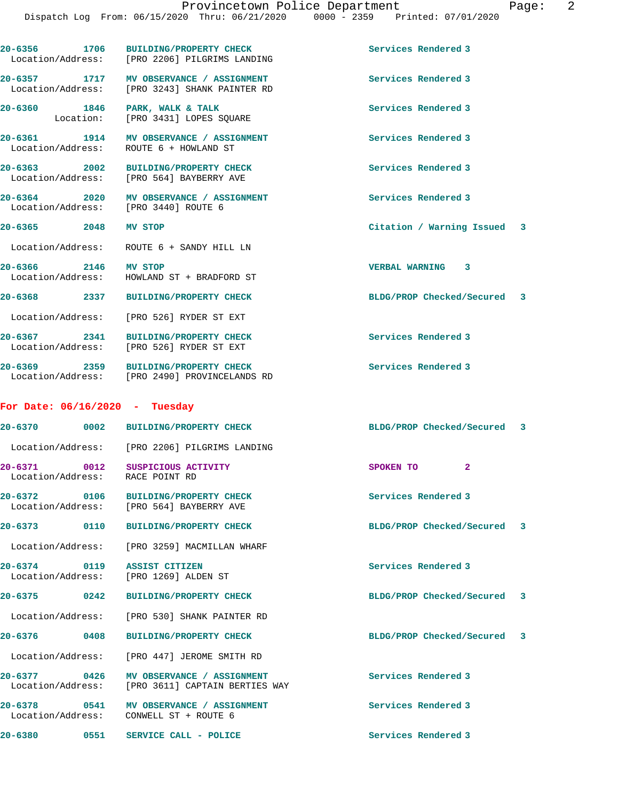| 20-6356 1706                             | BUILDING/PROPERTY CHECK<br>Location/Address: [PRO 2206] PILGRIMS LANDING                 | Services Rendered 3         |
|------------------------------------------|------------------------------------------------------------------------------------------|-----------------------------|
|                                          | 20-6357 1717 MV OBSERVANCE / ASSIGNMENT<br>Location/Address: [PRO 3243] SHANK PAINTER RD | Services Rendered 3         |
| 20-6360 1846 PARK, WALK & TALK           | Location: [PRO 3431] LOPES SQUARE                                                        | Services Rendered 3         |
|                                          | 20-6361 1914 MV OBSERVANCE / ASSIGNMENT<br>Location/Address: ROUTE 6 + HOWLAND ST        | Services Rendered 3         |
|                                          | 20-6363 2002 BUILDING/PROPERTY CHECK<br>Location/Address: [PRO 564] BAYBERRY AVE         | Services Rendered 3         |
|                                          | 20-6364 2020 MV OBSERVANCE / ASSIGNMENT<br>Location/Address: [PRO 3440] ROUTE 6          | Services Rendered 3         |
| 20-6365 2048 MV STOP                     |                                                                                          | Citation / Warning Issued 3 |
|                                          | Location/Address: ROUTE 6 + SANDY HILL LN                                                |                             |
| 20-6366 2146 MV STOP                     | Location/Address: HOWLAND ST + BRADFORD ST                                               | VERBAL WARNING 3            |
|                                          | 20-6368 2337 BUILDING/PROPERTY CHECK                                                     | BLDG/PROP Checked/Secured 3 |
|                                          | Location/Address: [PRO 526] RYDER ST EXT                                                 |                             |
| 20-6367 2341                             | <b>BUILDING/PROPERTY CHECK</b><br>Location/Address: [PRO 526] RYDER ST EXT               | Services Rendered 3         |
|                                          | 20-6369 2359 BUILDING/PROPERTY CHECK<br>Location/Address: [PRO 2490] PROVINCELANDS RD    | Services Rendered 3         |
| For Date: $06/16/2020 - Tuesday$         |                                                                                          |                             |
|                                          |                                                                                          | BLDG/PROP Checked/Secured 3 |
|                                          | Location/Address: [PRO 2206] PILGRIMS LANDING                                            |                             |
| Location/Address: RACE POINT RD          | 20-6371 0012 SUSPICIOUS ACTIVITY                                                         | $\mathbf{2}$<br>SPOKEN TO   |
| $20 - 6372$<br>0106<br>Location/Address: | <b>BUILDING/PROPERTY CHECK</b><br>[PRO 564] BAYBERRY AVE                                 | Services Rendered 3         |
| $20 - 6373$<br>0110                      | <b>BUILDING/PROPERTY CHECK</b>                                                           | BLDG/PROP Checked/Secured 3 |
|                                          | Location/Address: [PRO 3259] MACMILLAN WHARF                                             |                             |
| 20-6374<br>0119<br>Location/Address:     | ASSIST CITIZEN<br>[PRO 1269] ALDEN ST                                                    | Services Rendered 3         |
| 20-6375 0242                             | <b>BUILDING/PROPERTY CHECK</b>                                                           | BLDG/PROP Checked/Secured 3 |
| Location/Address:                        | [PRO 530] SHANK PAINTER RD                                                               |                             |
| 20-6376<br>0408                          | <b>BUILDING/PROPERTY CHECK</b>                                                           | BLDG/PROP Checked/Secured 3 |
| Location/Address:                        | [PRO 447] JEROME SMITH RD                                                                |                             |
| 20-6377 0426<br>Location/Address:        | MV OBSERVANCE / ASSIGNMENT<br>[PRO 3611] CAPTAIN BERTIES WAY                             | Services Rendered 3         |
| $20 - 6378$<br>0541<br>Location/Address: | MV OBSERVANCE / ASSIGNMENT<br>CONWELL ST + ROUTE 6                                       | Services Rendered 3         |
| 20-6380<br>0551                          | SERVICE CALL - POLICE                                                                    | Services Rendered 3         |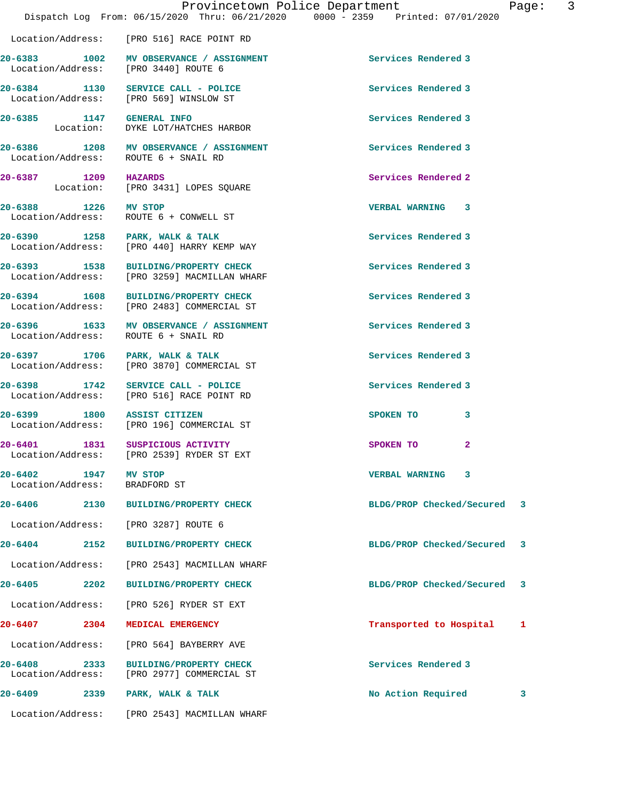20-6383 1002 MV OBSERVANCE / ASSIGNMENT Services Rendered 3 Location/Address: [PRO 3440] ROUTE 6

**20-6384 1130 SERVICE CALL - POLICE Services Rendered 3**  Location/Address: [PRO 569] WINSLOW ST

20-6385 1147 GENERAL INFO **1147** SERIERAL INFO Services Rendered 3

**20-6386 1208 MV OBSERVANCE / ASSIGNMENT Services Rendered 3**  Location/Address: ROUTE 6 + SNAIL RD

**20-6387 1209 HAZARDS Services Rendered 2**  Location: [PRO 3431] LOPES SQUARE

Location/Address: ROUTE 6 + CONWELL ST

Location/Address: [PRO 440] HARRY KEMP WAY

Location/Address: ROUTE 6 + SNAIL RD

Location/Address: [PRO 3870] COMMERCIAL ST

**20-6398 1742 SERVICE CALL - POLICE Services Rendered 3** 

**20-6402 1947 MV STOP VERBAL WARNING 3**  Location/Address: BRADFORD ST

Location/Address: [PRO 2539] RYDER ST EXT

Location/Address: [PRO 3287] ROUTE 6

Location/Address: [PRO 2543] MACMILLAN WHARF

**20-6405 2202 BUILDING/PROPERTY CHECK BLDG/PROP Checked/Secured 3**

Location/Address: [PRO 526] RYDER ST EXT

**20-6407 2304 MEDICAL EMERGENCY Transported to Hospital 1**

**20-6408 2333 BUILDING/PROPERTY CHECK Services Rendered 3**  Location/Address: [PRO 2977] COMMERCIAL ST

**20-6409 2339 PARK, WALK & TALK No Action Required 3**

Location/Address: [PRO 2543] MACMILLAN WHARF

**20-6388 1226 MV STOP VERBAL WARNING 3** 

**20-6390 1258 PARK, WALK & TALK Services Rendered 3** 

**20-6393 1538 BUILDING/PROPERTY CHECK Services Rendered 3**  Location/Address: [PRO 3259] MACMILLAN WHARF

**20-6394 1608 BUILDING/PROPERTY CHECK Services Rendered 3**  Location/Address: [PRO 2483] COMMERCIAL ST

DYKE LOT/HATCHES HARBOR

**20-6396 1633 MV OBSERVANCE / ASSIGNMENT Services Rendered 3** 

**20-6397 1706 PARK, WALK & TALK Services Rendered 3** 

Location/Address: [PRO 516] RACE POINT RD

20-6399 1800 ASSIST CITIZEN SPOKEN TO 3<br>
Location/Address: [PRO 196] COMMERCIAL ST [PRO 196] COMMERCIAL ST

**20-6401 1831 SUSPICIOUS ACTIVITY SPOKEN TO 2** 

**20-6406 2130 BUILDING/PROPERTY CHECK BLDG/PROP Checked/Secured 3**

**20-6404 2152 BUILDING/PROPERTY CHECK BLDG/PROP Checked/Secured 3**

Location/Address: [PRO 564] BAYBERRY AVE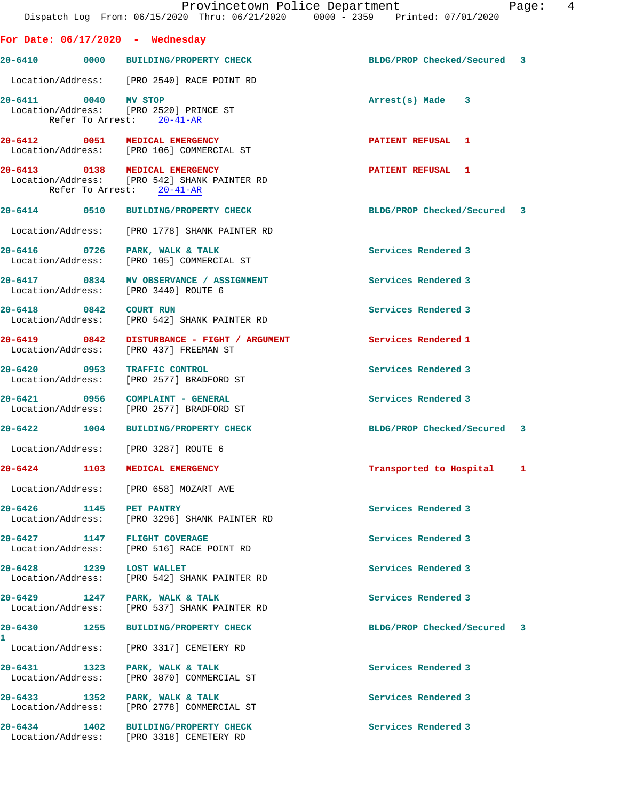|                          |                                                                                                             | Provincetown Police Department<br>Dispatch Log From: 06/15/2020 Thru: 06/21/2020 0000 - 2359 Printed: 07/01/2020 | Page: 4 |  |
|--------------------------|-------------------------------------------------------------------------------------------------------------|------------------------------------------------------------------------------------------------------------------|---------|--|
|                          | For Date: $06/17/2020$ - Wednesday                                                                          |                                                                                                                  |         |  |
|                          | 20-6410 0000 BUILDING/PROPERTY CHECK                                                                        | BLDG/PROP Checked/Secured 3                                                                                      |         |  |
|                          | Location/Address: [PRO 2540] RACE POINT RD                                                                  |                                                                                                                  |         |  |
| 20-6411 0040 MV STOP     | Location/Address: [PRO 2520] PRINCE ST<br>Refer To Arrest: 20-41-AR                                         | Arrest(s) Made 3                                                                                                 |         |  |
|                          | 20-6412 0051 MEDICAL EMERGENCY<br>Location/Address: [PRO 106] COMMERCIAL ST                                 | PATIENT REFUSAL 1                                                                                                |         |  |
|                          | 20-6413 0138 MEDICAL EMERGENCY<br>Location/Address: [PRO 542] SHANK PAINTER RD<br>Refer To Arrest: 20-41-AR | <b>PATIENT REFUSAL 1</b>                                                                                         |         |  |
|                          | 20-6414 0510 BUILDING/PROPERTY CHECK                                                                        | BLDG/PROP Checked/Secured 3                                                                                      |         |  |
|                          | Location/Address: [PRO 1778] SHANK PAINTER RD                                                               |                                                                                                                  |         |  |
|                          | 20-6416 0726 PARK, WALK & TALK<br>Location/Address: [PRO 105] COMMERCIAL ST                                 | Services Rendered 3                                                                                              |         |  |
|                          | 20-6417 0834 MV OBSERVANCE / ASSIGNMENT<br>Location/Address: [PRO 3440] ROUTE 6                             | Services Rendered 3                                                                                              |         |  |
|                          | 20-6418 0842 COURT RUN<br>Location/Address: [PRO 542] SHANK PAINTER RD                                      | Services Rendered 3                                                                                              |         |  |
|                          | 20-6419 0842 DISTURBANCE - FIGHT / ARGUMENT<br>Location/Address: [PRO 437] FREEMAN ST                       | Services Rendered 1                                                                                              |         |  |
|                          | 20-6420 0953 TRAFFIC CONTROL<br>Location/Address: [PRO 2577] BRADFORD ST                                    | Services Rendered 3                                                                                              |         |  |
|                          | 20-6421 0956 COMPLAINT - GENERAL<br>Location/Address: [PRO 2577] BRADFORD ST                                | Services Rendered 3                                                                                              |         |  |
|                          | 20-6422 1004 BUILDING/PROPERTY CHECK                                                                        | BLDG/PROP Checked/Secured 3                                                                                      |         |  |
|                          | Location/Address: [PRO 3287] ROUTE 6                                                                        |                                                                                                                  |         |  |
|                          | 20-6424 1103 MEDICAL EMERGENCY                                                                              | Transported to Hospital                                                                                          | 1       |  |
|                          | Location/Address: [PRO 658] MOZART AVE                                                                      |                                                                                                                  |         |  |
| 20-6426 1145 PET PANTRY  | Location/Address: [PRO 3296] SHANK PAINTER RD                                                               | Services Rendered 3                                                                                              |         |  |
|                          | 20-6427 1147 FLIGHT COVERAGE<br>Location/Address: [PRO 516] RACE POINT RD                                   | Services Rendered 3                                                                                              |         |  |
| 20-6428 1239 LOST WALLET | Location/Address: [PRO 542] SHANK PAINTER RD                                                                | Services Rendered 3                                                                                              |         |  |
|                          | 20-6429 1247 PARK, WALK & TALK<br>Location/Address: [PRO 537] SHANK PAINTER RD                              | Services Rendered 3                                                                                              |         |  |
| 20-6430<br>1             | 1255 BUILDING/PROPERTY CHECK                                                                                | BLDG/PROP Checked/Secured 3                                                                                      |         |  |
|                          | Location/Address: [PRO 3317] CEMETERY RD                                                                    |                                                                                                                  |         |  |
| Location/Address:        | 20-6431 1323 PARK, WALK & TALK<br>[PRO 3870] COMMERCIAL ST                                                  | Services Rendered 3                                                                                              |         |  |
|                          | 20-6433 1352 PARK, WALK & TALK<br>Location/Address: [PRO 2778] COMMERCIAL ST                                | Services Rendered 3                                                                                              |         |  |
|                          | 20-6434 1402 BUILDING/PROPERTY CHECK<br>Location/Address: [PRO 3318] CEMETERY RD                            | Services Rendered 3                                                                                              |         |  |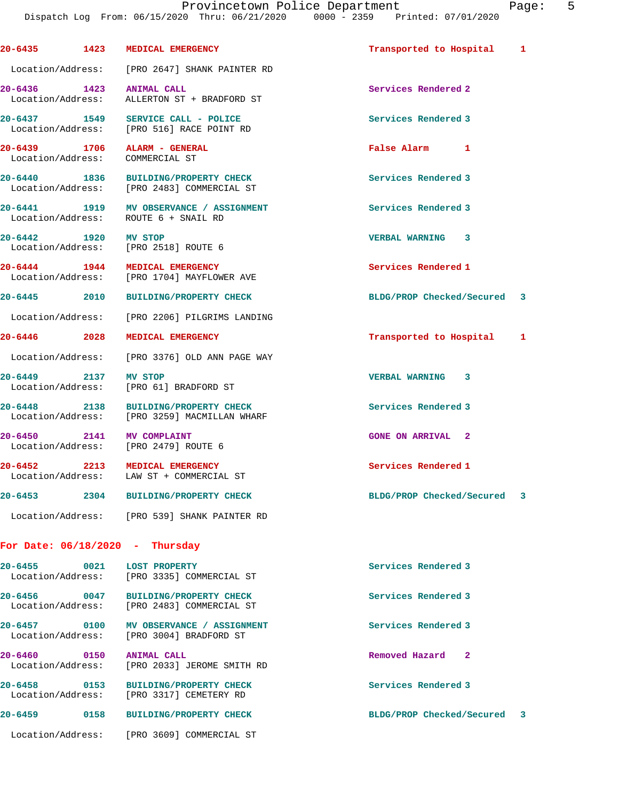**20-6435 1423 MEDICAL EMERGENCY Transported to Hospital 1** Location/Address: [PRO 2647] SHANK PAINTER RD **20-6436 1423 ANIMAL CALL Services Rendered 2**  Location/Address: ALLERTON ST + BRADFORD ST **20-6437 1549 SERVICE CALL - POLICE Services Rendered 3**  Location/Address: [PRO 516] RACE POINT RD **20-6439 1706 ALARM - GENERAL False Alarm 1**  Location/Address: COMMERCIAL ST **20-6440 1836 BUILDING/PROPERTY CHECK Services Rendered 3**  Location/Address: [PRO 2483] COMMERCIAL ST **20-6441 1919 MV OBSERVANCE / ASSIGNMENT Services Rendered 3**  Location/Address: ROUTE 6 + SNAIL RD **20-6442 1920 MV STOP VERBAL WARNING 3**  Location/Address: [PRO 2518] ROUTE 6 **20-6444 1944 MEDICAL EMERGENCY 1944 Services Rendered 1 Services Rendered 1** [PRO 1704] MAYFLOWER AVE **20-6445 2010 BUILDING/PROPERTY CHECK BLDG/PROP Checked/Secured 3** Location/Address: [PRO 2206] PILGRIMS LANDING **20-6446 2028 MEDICAL EMERGENCY Transported to Hospital 1** Location/Address: [PRO 3376] OLD ANN PAGE WAY **20-6449 2137 MV STOP VERBAL WARNING 3**  Location/Address: [PRO 61] BRADFORD ST **20-6448 2138 BUILDING/PROPERTY CHECK Services Rendered 3**  Location/Address: [PRO 3259] MACMILLAN WHARF **20-6450 2141 MV COMPLAINT GONE ON ARRIVAL 2**  Location/Address: [PRO 2479] ROUTE 6 **20-6452 2213 MEDICAL EMERGENCY Services Rendered 1**  Location/Address: LAW ST + COMMERCIAL ST **20-6453 2304 BUILDING/PROPERTY CHECK BLDG/PROP Checked/Secured 3** Location/Address: [PRO 539] SHANK PAINTER RD **For Date: 06/18/2020 - Thursday 20-6455 0021 LOST PROPERTY Services Rendered 3**  Location/Address: [PRO 3335] COMMERCIAL ST **20-6456 0047 BUILDING/PROPERTY CHECK Services Rendered 3**  Location/Address: [PRO 2483] COMMERCIAL ST **20-6457 0100 MV OBSERVANCE / ASSIGNMENT Services Rendered 3**  Location/Address: [PRO 3004] BRADFORD ST

**20-6460** 0150 **ANIMAL CALL 2001 Removed Hazard 2 2 CONS Removed Hazard** 2 [PRO 2033] JEROME SMITH RD **20-6458 0153 BUILDING/PROPERTY CHECK Services Rendered 3** 

 Location/Address: [PRO 3317] CEMETERY RD **20-6459 0158 BUILDING/PROPERTY CHECK BLDG/PROP Checked/Secured 3**

Location/Address: [PRO 3609] COMMERCIAL ST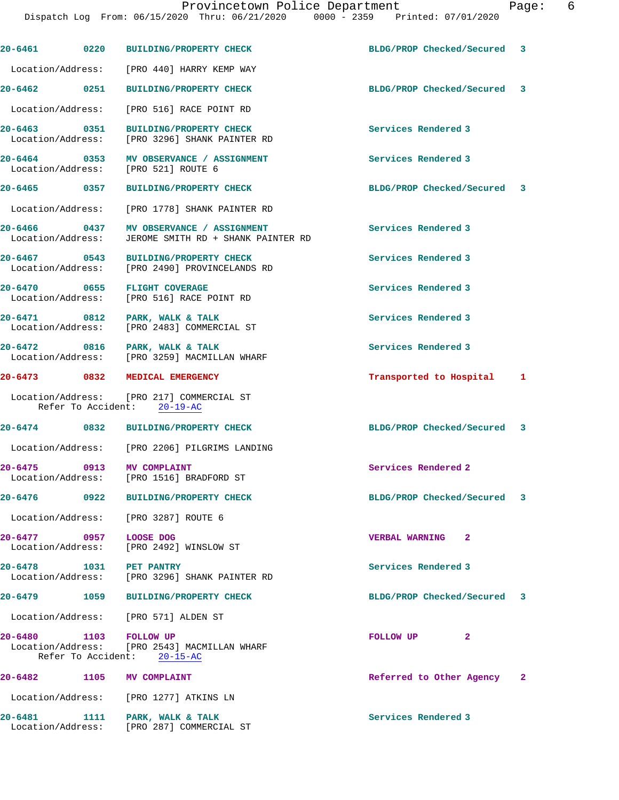|                                   | Dispatch Log From: 06/15/2020 Thru: 06/21/2020 0000 - 2359 Printed: 07/01/2020  |                             |  |
|-----------------------------------|---------------------------------------------------------------------------------|-----------------------------|--|
| 20-6461 0220                      | <b>BUILDING/PROPERTY CHECK</b>                                                  | BLDG/PROP Checked/Secured 3 |  |
|                                   | Location/Address: [PRO 440] HARRY KEMP WAY                                      |                             |  |
| 20-6462 0251                      | <b>BUILDING/PROPERTY CHECK</b>                                                  | BLDG/PROP Checked/Secured 3 |  |
| Location/Address:                 | [PRO 516] RACE POINT RD                                                         |                             |  |
| 20-6463 0351                      | BUILDING/PROPERTY CHECK<br>Location/Address: [PRO 3296] SHANK PAINTER RD        | Services Rendered 3         |  |
|                                   | 20-6464 0353 MV OBSERVANCE / ASSIGNMENT<br>Location/Address: [PRO 521] ROUTE 6  | Services Rendered 3         |  |
| 20-6465 0357                      | BUILDING/PROPERTY CHECK                                                         | BLDG/PROP Checked/Secured 3 |  |
|                                   | Location/Address: [PRO 1778] SHANK PAINTER RD                                   |                             |  |
| 20-6466 0437<br>Location/Address: | MV OBSERVANCE / ASSIGNMENT<br>JEROME SMITH RD + SHANK PAINTER RD                | Services Rendered 3         |  |
| 20-6467 0543                      | <b>BUILDING/PROPERTY CHECK</b><br>Location/Address: [PRO 2490] PROVINCELANDS RD | Services Rendered 3         |  |
|                                   | 20-6470 0655 FLIGHT COVERAGE<br>Location/Address: [PRO 516] RACE POINT RD       | Services Rendered 3         |  |
|                                   | 20-6471 0812 PARK, WALK & TALK<br>Location/Address: [PRO 2483] COMMERCIAL ST    | Services Rendered 3         |  |
|                                   | 20-6472 0816 PARK, WALK & TALK<br>Location/Address: [PRO 3259] MACMILLAN WHARF  | Services Rendered 3         |  |
|                                   | 20-6473 0832 MEDICAL EMERGENCY                                                  | Transported to Hospital 1   |  |
|                                   | Location/Address: [PRO 217] COMMERCIAL ST<br>Refer To Accident: 20-19-AC        |                             |  |
|                                   | 20-6474 0832 BUILDING/PROPERTY CHECK                                            | BLDG/PROP Checked/Secured 3 |  |
|                                   | Location/Address: [PRO 2206] PILGRIMS LANDING                                   |                             |  |
| 20-6475 0913                      | <b>MV COMPLAINT</b><br>Location/Address: [PRO 1516] BRADFORD ST                 | Services Rendered 2         |  |
|                                   |                                                                                 | BLDG/PROP Checked/Secured 3 |  |
|                                   | Location/Address: [PRO 3287] ROUTE 6                                            |                             |  |
| 20-6477 0957                      | LOOSE DOG<br>Location/Address: [PRO 2492] WINSLOW ST                            | <b>VERBAL WARNING</b><br>-2 |  |
|                                   | 20-6478    1031    PET PANTRY<br>Location/Address: [PRO 3296] SHANK PAINTER RD  | Services Rendered 3         |  |
|                                   | 20-6479 1059 BUILDING/PROPERTY CHECK                                            | BLDG/PROP Checked/Secured 3 |  |
|                                   | Location/Address: [PRO 571] ALDEN ST                                            |                             |  |
| 20-6480 1103 FOLLOW UP            | Location/Address: [PRO 2543] MACMILLAN WHARF<br>Refer To Accident: 20-15-AC     | FOLLOW UP<br>2              |  |
|                                   | 20-6482 1105 MV COMPLAINT                                                       | Referred to Other Agency 2  |  |
|                                   | Location/Address: [PRO 1277] ATKINS LN                                          |                             |  |

20-6481 1111 PARK, WALK & TALK **Services Rendered 3** 

Location/Address: [PRO 287] COMMERCIAL ST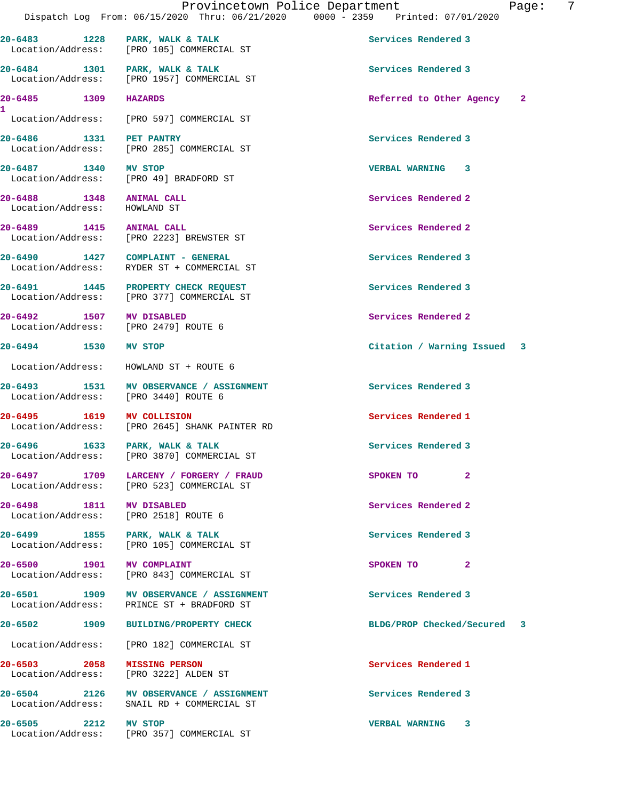20-6486 1331 PET PANTRY **120 Services Rendered 3**  Location/Address: [PRO 285] COMMERCIAL ST **20-6487 1340 MV STOP VERBAL WARNING 3**  Location/Address: [PRO 49] BRADFORD ST **20-6488 1348 ANIMAL CALL Services Rendered 2**  Location/Address: HOWLAND ST **20-6489 1415 ANIMAL CALL Services Rendered 2**  Location/Address: [PRO 2223] BREWSTER ST **20-6490 1427 COMPLAINT - GENERAL Services Rendered 3**  Location/Address: RYDER ST + COMMERCIAL ST 20-6491 **1445** PROPERTY CHECK REQUEST **Services** Rendered 3 Location/Address: [PRO 377] COMMERCIAL ST

**20-6492 1507 MV DISABLED Services Rendered 2**  Location/Address: [PRO 2479] ROUTE 6

Location/Address: [PRO 105] COMMERCIAL ST

Location/Address: [PRO 1957] COMMERCIAL ST

Location/Address: [PRO 597] COMMERCIAL ST

**1** 

Location/Address: HOWLAND ST + ROUTE 6

**20-6493 1531 MV OBSERVANCE / ASSIGNMENT Services Rendered 3**  Location/Address: [PRO 3440] ROUTE 6

**20-6495 1619 MV COLLISION Services Rendered 1**<br>
Location/Address: [PRO 2645] SHANK PAINTER RD [PRO 2645] SHANK PAINTER RD

**20-6496 1633 PARK, WALK & TALK Services Rendered 3**  Location/Address: [PRO 3870] COMMERCIAL ST

**20-6497 1709 LARCENY / FORGERY / FRAUD SPOKEN TO 2**  Location/Address: [PRO 523] COMMERCIAL ST

Location/Address: [PRO 2518] ROUTE 6

**20-6499 1855 PARK, WALK & TALK Services Rendered 3**  Location/Address: [PRO 105] COMMERCIAL ST

**20-6500 1901 MV COMPLAINT AND SPOKEN TO 2**<br>
Location/Address: [PRO 843] COMMERCIAL ST [PRO 843] COMMERCIAL ST

20-6501 1909 MV OBSERVANCE / ASSIGNMENT **Services Rendered 3** Location/Address: PRINCE ST + BRADFORD ST

Location/Address: [PRO 182] COMMERCIAL ST

Location/Address: [PRO 3222] ALDEN ST

20-6504 2126 MV OBSERVANCE / ASSIGNMENT **Services Rendered 3** <br>
Location/Address: SNAIL RD + COMMERCIAL ST SNAIL RD + COMMERCIAL ST

**20-6505 2212 MV STOP VERBAL WARNING 3**  Location/Address: [PRO 357] COMMERCIAL ST

20-6483 1228 PARK, WALK & TALK **Services Rendered 3** 

20-6484 1301 PARK, WALK & TALK **Services Rendered 3** 

**20-6485 1309 HAZARDS Referred to Other Agency 2**

**20-6494 1530 MV STOP Citation / Warning Issued 3**

**20-6498 1811 MV DISABLED Services Rendered 2** 

**20-6502 1909 BUILDING/PROPERTY CHECK BLDG/PROP Checked/Secured 3**

**20-6503 2058 MISSING PERSON Services Rendered 1**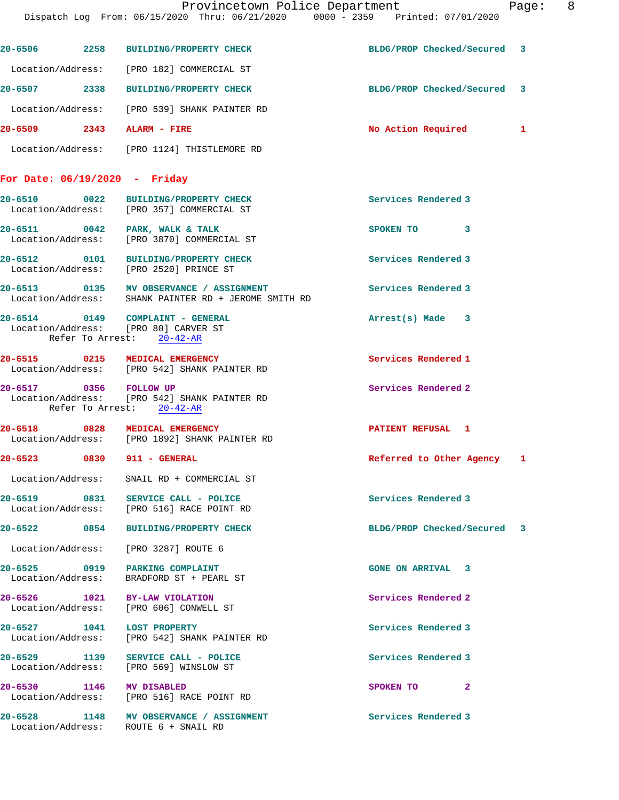|                               | 20-6506 2258 BUILDING/PROPERTY CHECK                                                                  | BLDG/PROP Checked/Secured 3 |  |
|-------------------------------|-------------------------------------------------------------------------------------------------------|-----------------------------|--|
|                               | Location/Address: [PRO 182] COMMERCIAL ST                                                             |                             |  |
|                               | 20-6507 2338 BUILDING/PROPERTY CHECK                                                                  | BLDG/PROP Checked/Secured 3 |  |
|                               | Location/Address: [PRO 539] SHANK PAINTER RD                                                          |                             |  |
|                               | 20-6509 2343 ALARM - FIRE                                                                             | No Action Required 1        |  |
|                               | Location/Address: [PRO 1124] THISTLEMORE RD                                                           |                             |  |
| For Date: 06/19/2020 - Friday |                                                                                                       |                             |  |
|                               | 20-6510 0022 BUILDING/PROPERTY CHECK<br>Location/Address: [PRO 357] COMMERCIAL ST                     | Services Rendered 3         |  |
|                               | 20-6511 0042 PARK, WALK & TALK<br>Location/Address: [PRO 3870] COMMERCIAL ST                          | SPOKEN TO 3                 |  |
|                               | 20-6512 0101 BUILDING/PROPERTY CHECK<br>Location/Address: [PRO 2520] PRINCE ST                        | Services Rendered 3         |  |
|                               | 20-6513 0135 MV OBSERVANCE / ASSIGNMENT<br>Location/Address: SHANK PAINTER RD + JEROME SMITH RD       | Services Rendered 3         |  |
|                               | 20-6514 0149 COMPLAINT - GENERAL<br>Location/Address: [PRO 80] CARVER ST<br>Refer To Arrest: 20-42-AR | Arrest(s) Made 3            |  |
|                               | 20-6515 0215 MEDICAL EMERGENCY<br>Location/Address: [PRO 542] SHANK PAINTER RD                        | Services Rendered 1         |  |
| 20-6517 0356 FOLLOW UP        | Location/Address: [PRO 542] SHANK PAINTER RD<br>Refer To Arrest: 20-42-AR                             | Services Rendered 2         |  |
|                               | 20-6518 0828 MEDICAL EMERGENCY<br>Location/Address: [PRO 1892] SHANK PAINTER RD                       | <b>PATIENT REFUSAL 1</b>    |  |
|                               | 20-6523 0830 911 - GENERAL                                                                            | Referred to Other Agency 1  |  |
| Location/Address:             | SNAIL RD + COMMERCIAL ST                                                                              |                             |  |
|                               | 20-6519 0831 SERVICE CALL - POLICE<br>Location/Address: [PRO 516] RACE POINT RD                       | Services Rendered 3         |  |
|                               | 20-6522 0854 BUILDING/PROPERTY CHECK                                                                  | BLDG/PROP Checked/Secured 3 |  |
|                               | Location/Address: [PRO 3287] ROUTE 6                                                                  |                             |  |
|                               | 20-6525 0919 PARKING COMPLAINT<br>Location/Address: BRADFORD ST + PEARL ST                            | <b>GONE ON ARRIVAL 3</b>    |  |
|                               | 20-6526 1021 BY-LAW VIOLATION<br>Location/Address: [PRO 606] CONWELL ST                               | Services Rendered 2         |  |
|                               | 20-6527 1041 LOST PROPERTY<br>Location/Address: [PRO 542] SHANK PAINTER RD                            | Services Rendered 3         |  |
|                               | 20-6529 1139 SERVICE CALL - POLICE<br>Location/Address: [PRO 569] WINSLOW ST                          | Services Rendered 3         |  |
| 20-6530 1146 MV DISABLED      | Location/Address: [PRO 516] RACE POINT RD                                                             | $\mathbf{2}$<br>SPOKEN TO   |  |
|                               | 20-6528 1148 MV OBSERVANCE / ASSIGNMENT<br>Location/Address: ROUTE 6 + SNAIL RD                       | Services Rendered 3         |  |
|                               |                                                                                                       |                             |  |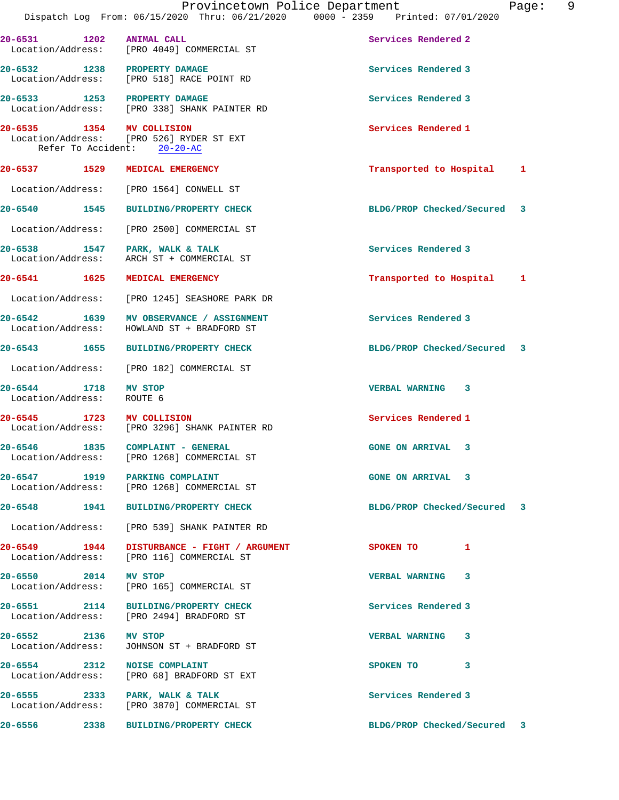|                                   |      | Provincetown Police Department<br>Dispatch Log From: 06/15/2020 Thru: 06/21/2020 0000 - 2359 Printed: 07/01/2020 |                             | Page: | 9 |
|-----------------------------------|------|------------------------------------------------------------------------------------------------------------------|-----------------------------|-------|---|
| 20-6531                           | 1202 | <b>ANIMAL CALL</b><br>Location/Address: [PRO 4049] COMMERCIAL ST                                                 | Services Rendered 2         |       |   |
|                                   |      | 20-6532 1238 PROPERTY DAMAGE<br>Location/Address: [PRO 518] RACE POINT RD                                        | Services Rendered 3         |       |   |
|                                   |      | 20-6533 1253 PROPERTY DAMAGE<br>Location/Address: [PRO 338] SHANK PAINTER RD                                     | Services Rendered 3         |       |   |
| 20-6535 1354                      |      | MV COLLISION<br>Location/Address: [PRO 526] RYDER ST EXT<br>Refer To Accident: 20-20-AC                          | Services Rendered 1         |       |   |
| 20-6537 1529                      |      | MEDICAL EMERGENCY                                                                                                | Transported to Hospital     | 1     |   |
| Location/Address:                 |      | [PRO 1564] CONWELL ST                                                                                            |                             |       |   |
| 20-6540 1545                      |      | <b>BUILDING/PROPERTY CHECK</b>                                                                                   | BLDG/PROP Checked/Secured   | 3     |   |
| Location/Address:                 |      | [PRO 2500] COMMERCIAL ST                                                                                         |                             |       |   |
| 20-6538 1547<br>Location/Address: |      | PARK, WALK & TALK<br>ARCH ST + COMMERCIAL ST                                                                     | Services Rendered 3         |       |   |
| 20-6541 1625                      |      | MEDICAL EMERGENCY                                                                                                | Transported to Hospital     | 1     |   |
| Location/Address:                 |      | [PRO 1245] SEASHORE PARK DR                                                                                      |                             |       |   |
| 20-6542 1639<br>Location/Address: |      | MV OBSERVANCE / ASSIGNMENT<br>HOWLAND ST + BRADFORD ST                                                           | Services Rendered 3         |       |   |
| 20-6543 1655                      |      | <b>BUILDING/PROPERTY CHECK</b>                                                                                   | BLDG/PROP Checked/Secured   | 3     |   |
| Location/Address:                 |      | [PRO 182] COMMERCIAL ST                                                                                          |                             |       |   |
| 20-6544 1718<br>Location/Address: |      | MV STOP<br>ROUTE 6                                                                                               | <b>VERBAL WARNING</b><br>-3 |       |   |
| $20 - 6545$                       |      | 1723 MV COLLISION<br>Location/Address: [PRO 3296] SHANK PAINTER RD                                               | Services Rendered 1         |       |   |
| 20-6546                           | 1835 | COMPLAINT - GENERAL<br>Location/Address: [PRO 1268] COMMERCIAL ST                                                | <b>GONE ON ARRIVAL 3</b>    |       |   |
|                                   |      | 20-6547 1919 PARKING COMPLAINT<br>Location/Address: [PRO 1268] COMMERCIAL ST                                     | <b>GONE ON ARRIVAL 3</b>    |       |   |
|                                   |      | 20-6548 1941 BUILDING/PROPERTY CHECK                                                                             | BLDG/PROP Checked/Secured 3 |       |   |
|                                   |      | Location/Address: [PRO 539] SHANK PAINTER RD                                                                     |                             |       |   |
| 20-6549 1944<br>Location/Address: |      | DISTURBANCE - FIGHT / ARGUMENT<br>[PRO 116] COMMERCIAL ST                                                        | SPOKEN TO 1                 |       |   |
| 20-6550 2014 MV STOP              |      | Location/Address: [PRO 165] COMMERCIAL ST                                                                        | VERBAL WARNING 3            |       |   |
|                                   |      | 20-6551 2114 BUILDING/PROPERTY CHECK<br>Location/Address: [PRO 2494] BRADFORD ST                                 | Services Rendered 3         |       |   |
| 20-6552 2136 MV STOP              |      | Location/Address: JOHNSON ST + BRADFORD ST                                                                       | VERBAL WARNING 3            |       |   |
|                                   |      | 20-6554 2312 NOISE COMPLAINT<br>Location/Address: [PRO 68] BRADFORD ST EXT                                       | SPOKEN TO 3                 |       |   |
|                                   |      | 20-6555 2333 PARK, WALK & TALK<br>Location/Address: [PRO 3870] COMMERCIAL ST                                     | Services Rendered 3         |       |   |
|                                   |      | 20-6556 2338 BUILDING/PROPERTY CHECK                                                                             | BLDG/PROP Checked/Secured 3 |       |   |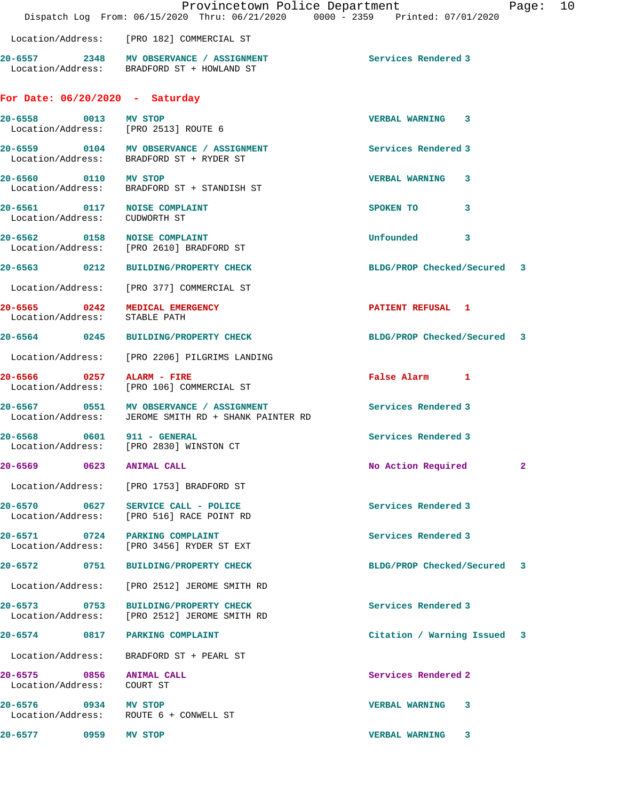|                                                               | Provincetown Police Department<br>Dispatch Log From: 06/15/2020 Thru: 06/21/2020 0000 - 2359 Printed: 07/01/2020 |                             |              | Page: | 10 |
|---------------------------------------------------------------|------------------------------------------------------------------------------------------------------------------|-----------------------------|--------------|-------|----|
|                                                               | Location/Address: [PRO 182] COMMERCIAL ST                                                                        |                             |              |       |    |
|                                                               | 20-6557 2348 MV OBSERVANCE / ASSIGNMENT<br>Location/Address: BRADFORD ST + HOWLAND ST                            | Services Rendered 3         |              |       |    |
| For Date: $06/20/2020 - Saturday$                             |                                                                                                                  |                             |              |       |    |
| 20-6558 0013 MV STOP                                          | Location/Address: [PRO 2513] ROUTE 6                                                                             | <b>VERBAL WARNING 3</b>     |              |       |    |
|                                                               | 20-6559 0104 MV OBSERVANCE / ASSIGNMENT<br>Location/Address: BRADFORD ST + RYDER ST                              | Services Rendered 3         |              |       |    |
| 20-6560 0110 MV STOP                                          | Location/Address: BRADFORD ST + STANDISH ST                                                                      | VERBAL WARNING 3            |              |       |    |
| 20-6561 0117 NOISE COMPLAINT<br>Location/Address: CUDWORTH ST |                                                                                                                  | SPOKEN TO                   | $\mathbf{3}$ |       |    |
|                                                               | 20-6562 0158 NOISE COMPLAINT<br>Location/Address: [PRO 2610] BRADFORD ST                                         | Unfounded 3                 |              |       |    |
|                                                               | 20-6563 0212 BUILDING/PROPERTY CHECK                                                                             | BLDG/PROP Checked/Secured 3 |              |       |    |
|                                                               | Location/Address: [PRO 377] COMMERCIAL ST                                                                        |                             |              |       |    |
| Location/Address: STABLE PATH                                 | 20-6565 0242 MEDICAL EMERGENCY                                                                                   | <b>PATIENT REFUSAL 1</b>    |              |       |    |
|                                                               | 20-6564 0245 BUILDING/PROPERTY CHECK                                                                             | BLDG/PROP Checked/Secured 3 |              |       |    |
|                                                               | Location/Address: [PRO 2206] PILGRIMS LANDING                                                                    |                             |              |       |    |
|                                                               | 20-6566 0257 ALARM - FIRE<br>Location/Address: [PRO 106] COMMERCIAL ST                                           | False Alarm 1               |              |       |    |
|                                                               | 20-6567 0551 MV OBSERVANCE / ASSIGNMENT<br>Location/Address: JEROME SMITH RD + SHANK PAINTER RD                  | Services Rendered 3         |              |       |    |
| 20-6568 0601 911 - GENERAL                                    | Location/Address: [PRO 2830] WINSTON CT                                                                          | Services Rendered 3         |              |       |    |
| 20-6569 0623 ANIMAL CALL                                      |                                                                                                                  | No Action Required          |              | 2     |    |
|                                                               | Location/Address: [PRO 1753] BRADFORD ST                                                                         |                             |              |       |    |
|                                                               | 20-6570 0627 SERVICE CALL - POLICE<br>Location/Address: [PRO 516] RACE POINT RD                                  | Services Rendered 3         |              |       |    |
|                                                               | 20-6571 0724 PARKING COMPLAINT<br>Location/Address: [PRO 3456] RYDER ST EXT                                      | Services Rendered 3         |              |       |    |
| 20-6572 0751                                                  | <b>BUILDING/PROPERTY CHECK</b>                                                                                   | BLDG/PROP Checked/Secured 3 |              |       |    |
| Location/Address:                                             | [PRO 2512] JEROME SMITH RD                                                                                       |                             |              |       |    |
| 20-6573 0753<br>Location/Address:                             | <b>BUILDING/PROPERTY CHECK</b><br>[PRO 2512] JEROME SMITH RD                                                     | Services Rendered 3         |              |       |    |
|                                                               | 20-6574 0817 PARKING COMPLAINT                                                                                   | Citation / Warning Issued 3 |              |       |    |
| Location/Address:                                             | BRADFORD ST + PEARL ST                                                                                           |                             |              |       |    |
| 20-6575 0856 ANIMAL CALL<br>Location/Address: COURT ST        |                                                                                                                  | Services Rendered 2         |              |       |    |
| 20-6576 0934 MV STOP                                          | Location/Address: ROUTE 6 + CONWELL ST                                                                           | VERBAL WARNING 3            |              |       |    |
| 20-6577 0959 MV STOP                                          |                                                                                                                  | VERBAL WARNING 3            |              |       |    |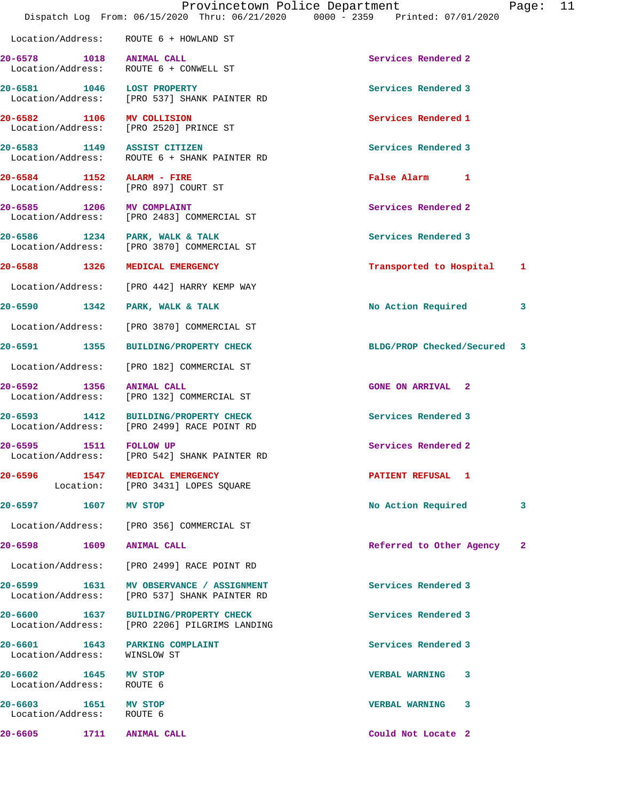|                                                                   |                                                                                         | Provincetown Police Department<br>Dispatch Log From: 06/15/2020 Thru: 06/21/2020 0000 - 2359 Printed: 07/01/2020 | Page: | 11 |
|-------------------------------------------------------------------|-----------------------------------------------------------------------------------------|------------------------------------------------------------------------------------------------------------------|-------|----|
|                                                                   | Location/Address: ROUTE 6 + HOWLAND ST                                                  |                                                                                                                  |       |    |
| 20-6578 1018 ANIMAL CALL                                          | Location/Address: ROUTE 6 + CONWELL ST                                                  | Services Rendered 2                                                                                              |       |    |
| 20-6581 1046 LOST PROPERTY                                        | Location/Address: [PRO 537] SHANK PAINTER RD                                            | Services Rendered 3                                                                                              |       |    |
| 20-6582 1106 MV COLLISION                                         | Location/Address: [PRO 2520] PRINCE ST                                                  | Services Rendered 1                                                                                              |       |    |
| 20-6583 1149 ASSIST CITIZEN                                       | Location/Address: ROUTE 6 + SHANK PAINTER RD                                            | Services Rendered 3                                                                                              |       |    |
| 20-6584 1152 ALARM - FIRE<br>Location/Address: [PRO 897] COURT ST |                                                                                         | False Alarm 1                                                                                                    |       |    |
|                                                                   | 20-6585 1206 MV COMPLAINT<br>Location/Address: [PRO 2483] COMMERCIAL ST                 | Services Rendered 2                                                                                              |       |    |
| 20-6586 1234 PARK, WALK & TALK                                    | Location/Address: [PRO 3870] COMMERCIAL ST                                              | Services Rendered 3                                                                                              |       |    |
| 20-6588 1326 MEDICAL EMERGENCY                                    |                                                                                         | Transported to Hospital 1                                                                                        |       |    |
|                                                                   | Location/Address: [PRO 442] HARRY KEMP WAY                                              |                                                                                                                  |       |    |
| 20-6590 1342 PARK, WALK & TALK                                    |                                                                                         | No Action Required                                                                                               | 3     |    |
|                                                                   | Location/Address: [PRO 3870] COMMERCIAL ST                                              |                                                                                                                  |       |    |
|                                                                   | 20-6591 1355 BUILDING/PROPERTY CHECK                                                    | BLDG/PROP Checked/Secured 3                                                                                      |       |    |
|                                                                   | Location/Address: [PRO 182] COMMERCIAL ST                                               |                                                                                                                  |       |    |
| 20-6592                                                           | 1356 ANIMAL CALL<br>Location/Address: [PRO 132] COMMERCIAL ST                           | <b>GONE ON ARRIVAL 2</b>                                                                                         |       |    |
|                                                                   | 20-6593 1412 BUILDING/PROPERTY CHECK<br>Location/Address: [PRO 2499] RACE POINT RD      | Services Rendered 3                                                                                              |       |    |
| 1511<br>20-6595<br>Location/Address:                              | <b>FOLLOW UP</b><br>[PRO 542] SHANK PAINTER RD                                          | Services Rendered 2                                                                                              |       |    |
| 20-6596 1547                                                      | <b>MEDICAL EMERGENCY</b><br>Location: [PRO 3431] LOPES SQUARE                           | PATIENT REFUSAL 1                                                                                                |       |    |
| 20-6597 1607 MV STOP                                              |                                                                                         | No Action Required                                                                                               | 3     |    |
|                                                                   | Location/Address: [PRO 356] COMMERCIAL ST                                               |                                                                                                                  |       |    |
| 20-6598 1609 ANIMAL CALL                                          |                                                                                         | Referred to Other Agency                                                                                         | 2     |    |
|                                                                   | Location/Address: [PRO 2499] RACE POINT RD                                              |                                                                                                                  |       |    |
|                                                                   | 20-6599 1631 MV OBSERVANCE / ASSIGNMENT<br>Location/Address: [PRO 537] SHANK PAINTER RD | Services Rendered 3                                                                                              |       |    |
|                                                                   | 20-6600 1637 BUILDING/PROPERTY CHECK<br>Location/Address: [PRO 2206] PILGRIMS LANDING   | Services Rendered 3                                                                                              |       |    |
| 20-6601 1643 PARKING COMPLAINT<br>Location/Address: WINSLOW ST    |                                                                                         | Services Rendered 3                                                                                              |       |    |
| 20-6602 1645 MV STOP<br>Location/Address: ROUTE 6                 |                                                                                         | VERBAL WARNING 3                                                                                                 |       |    |
| 20-6603 1651 MV STOP<br>Location/Address: ROUTE 6                 |                                                                                         | VERBAL WARNING 3                                                                                                 |       |    |
| 20-6605                                                           | 1711 ANIMAL CALL                                                                        | Could Not Locate 2                                                                                               |       |    |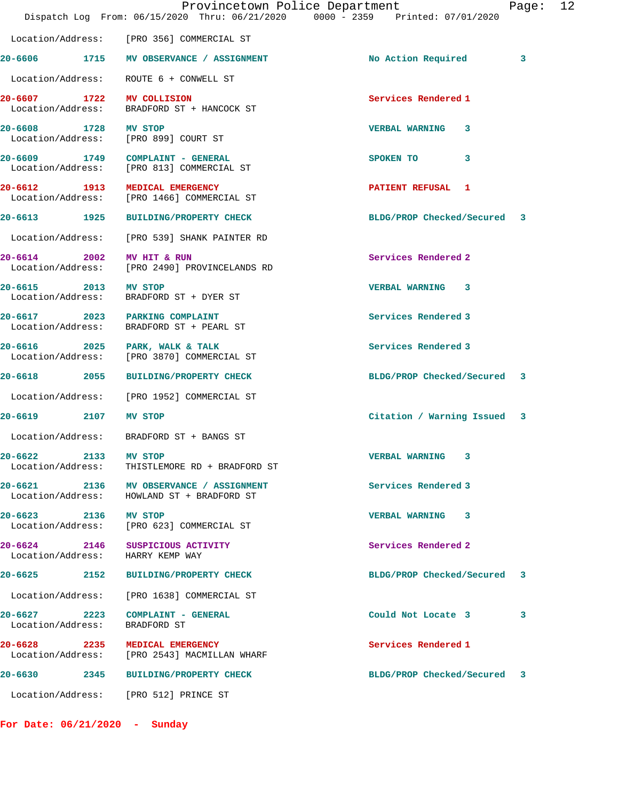|                                   |                                                                                       | Provincetown Police Department<br>Dispatch Log From: 06/15/2020 Thru: 06/21/2020 0000 - 2359 Printed: 07/01/2020 | Page: 12 |  |
|-----------------------------------|---------------------------------------------------------------------------------------|------------------------------------------------------------------------------------------------------------------|----------|--|
|                                   | Location/Address: [PRO 356] COMMERCIAL ST                                             |                                                                                                                  |          |  |
|                                   | 20-6606 1715 MV OBSERVANCE / ASSIGNMENT                                               | No Action Required                                                                                               | 3        |  |
|                                   | Location/Address: ROUTE 6 + CONWELL ST                                                |                                                                                                                  |          |  |
| Location/Address:                 | 20-6607 1722 MV COLLISION<br>BRADFORD ST + HANCOCK ST                                 | Services Rendered 1                                                                                              |          |  |
| 20-6608 1728 MV STOP              | Location/Address: [PRO 899] COURT ST                                                  | VERBAL WARNING 3                                                                                                 |          |  |
|                                   | 20-6609 1749 COMPLAINT - GENERAL<br>Location/Address: [PRO 813] COMMERCIAL ST         | SPOKEN TO 3                                                                                                      |          |  |
|                                   | 20-6612 1913 MEDICAL EMERGENCY<br>Location/Address: [PRO 1466] COMMERCIAL ST          | PATIENT REFUSAL 1                                                                                                |          |  |
|                                   | 20-6613 1925 BUILDING/PROPERTY CHECK                                                  | BLDG/PROP Checked/Secured 3                                                                                      |          |  |
|                                   | Location/Address: [PRO 539] SHANK PAINTER RD                                          |                                                                                                                  |          |  |
|                                   | 20-6614 2002 MV HIT & RUN<br>Location/Address: [PRO 2490] PROVINCELANDS RD            | Services Rendered 2                                                                                              |          |  |
| 20-6615 2013 MV STOP              | Location/Address: BRADFORD ST + DYER ST                                               | VERBAL WARNING 3                                                                                                 |          |  |
|                                   | 20-6617 2023 PARKING COMPLAINT<br>Location/Address: BRADFORD ST + PEARL ST            | Services Rendered 3                                                                                              |          |  |
|                                   | 20-6616 2025 PARK, WALK & TALK<br>Location/Address: [PRO 3870] COMMERCIAL ST          | Services Rendered 3                                                                                              |          |  |
|                                   | 20-6618 2055 BUILDING/PROPERTY CHECK                                                  | BLDG/PROP Checked/Secured 3                                                                                      |          |  |
|                                   | Location/Address: [PRO 1952] COMMERCIAL ST                                            |                                                                                                                  |          |  |
| 20-6619 2107 MV STOP              |                                                                                       | Citation / Warning Issued 3                                                                                      |          |  |
|                                   | Location/Address: BRADFORD ST + BANGS ST                                              |                                                                                                                  |          |  |
| 20-6622 2133<br>Location/Address: | MV STOP<br>THISTLEMORE RD + BRADFORD ST                                               | VERBAL WARNING 3                                                                                                 |          |  |
|                                   | 20-6621 2136 MV OBSERVANCE / ASSIGNMENT<br>Location/Address: HOWLAND ST + BRADFORD ST | Services Rendered 3                                                                                              |          |  |
| 20-6623 2136 MV STOP              | Location/Address: [PRO 623] COMMERCIAL ST                                             | VERBAL WARNING 3                                                                                                 |          |  |
| Location/Address:                 | 20-6624 2146 SUSPICIOUS ACTIVITY<br>HARRY KEMP WAY                                    | Services Rendered 2                                                                                              |          |  |
|                                   | 20-6625 2152 BUILDING/PROPERTY CHECK                                                  | BLDG/PROP Checked/Secured                                                                                        | -3       |  |
|                                   | Location/Address: [PRO 1638] COMMERCIAL ST                                            |                                                                                                                  |          |  |
| 20-6627 2223<br>Location/Address: | <b>COMPLAINT - GENERAL</b><br>BRADFORD ST                                             | Could Not Locate 3                                                                                               | 3        |  |
|                                   | 20-6628 2235 MEDICAL EMERGENCY<br>Location/Address: [PRO 2543] MACMILLAN WHARF        | Services Rendered 1                                                                                              |          |  |
|                                   | 20-6630 2345 BUILDING/PROPERTY CHECK                                                  | BLDG/PROP Checked/Secured 3                                                                                      |          |  |
|                                   | Location/Address: [PRO 512] PRINCE ST                                                 |                                                                                                                  |          |  |
|                                   |                                                                                       |                                                                                                                  |          |  |

**For Date: 06/21/2020 - Sunday**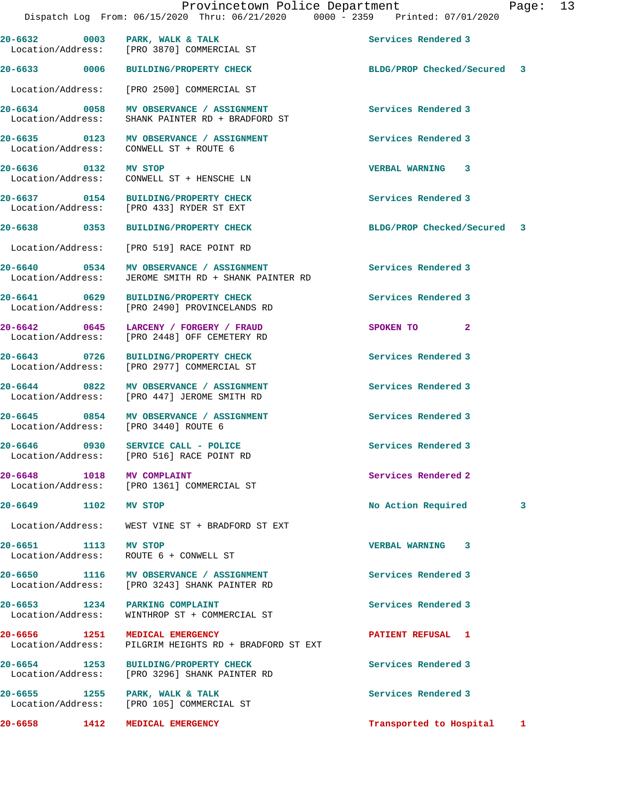| 20-6632 0003                      | PARK, WALK & TALK<br>Location/Address: [PRO 3870] COMMERCIAL ST                          | Services Rendered 3         |   |
|-----------------------------------|------------------------------------------------------------------------------------------|-----------------------------|---|
| 20-6633 0006                      | BUILDING/PROPERTY CHECK                                                                  | BLDG/PROP Checked/Secured 3 |   |
| Location/Address:                 | [PRO 2500] COMMERCIAL ST                                                                 |                             |   |
| 20-6634 0058<br>Location/Address: | MV OBSERVANCE / ASSIGNMENT<br>SHANK PAINTER RD + BRADFORD ST                             | Services Rendered 3         |   |
| 20-6635 0123<br>Location/Address: | MV OBSERVANCE / ASSIGNMENT<br>CONWELL ST + ROUTE 6                                       | Services Rendered 3         |   |
| 20-6636 0132 MV STOP              | Location/Address: CONWELL ST + HENSCHE LN                                                | VERBAL WARNING 3            |   |
| 20-6637 0154                      | <b>BUILDING/PROPERTY CHECK</b><br>Location/Address: [PRO 433] RYDER ST EXT               | Services Rendered 3         |   |
| 20-6638 0353                      | <b>BUILDING/PROPERTY CHECK</b>                                                           | BLDG/PROP Checked/Secured 3 |   |
|                                   | Location/Address: [PRO 519] RACE POINT RD                                                |                             |   |
| 20-6640 0534<br>Location/Address: | MV OBSERVANCE / ASSIGNMENT<br>JEROME SMITH RD + SHANK PAINTER RD                         | Services Rendered 3         |   |
| 20-6641 0629<br>Location/Address: | BUILDING/PROPERTY CHECK<br>[PRO 2490] PROVINCELANDS RD                                   | Services Rendered 3         |   |
| 20-6642 0645<br>Location/Address: | LARCENY / FORGERY / FRAUD<br>[PRO 2448] OFF CEMETERY RD                                  | $\mathbf{2}$<br>SPOKEN TO   |   |
| 20-6643 0726                      | <b>BUILDING/PROPERTY CHECK</b><br>Location/Address: [PRO 2977] COMMERCIAL ST             | Services Rendered 3         |   |
|                                   | 20-6644 0822 MV OBSERVANCE / ASSIGNMENT<br>Location/Address: [PRO 447] JEROME SMITH RD   | Services Rendered 3         |   |
| 20-6645 0854                      | MV OBSERVANCE / ASSIGNMENT<br>Location/Address: [PRO 3440] ROUTE 6                       | Services Rendered 3         |   |
|                                   | 20-6646 0930 SERVICE CALL - POLICE<br>Location/Address: [PRO 516] RACE POINT RD          | Services Rendered 3         |   |
| 1018<br>20-6648                   | MV COMPLAINT<br>Location/Address: [PRO 1361] COMMERCIAL ST                               | Services Rendered 2         |   |
| 20-6649 1102 MV STOP              |                                                                                          | No Action Required          | 3 |
|                                   | Location/Address: WEST VINE ST + BRADFORD ST EXT                                         |                             |   |
| 20-6651 1113 MV STOP              | Location/Address: ROUTE 6 + CONWELL ST                                                   | VERBAL WARNING 3            |   |
|                                   | 20-6650 1116 MV OBSERVANCE / ASSIGNMENT<br>Location/Address: [PRO 3243] SHANK PAINTER RD | Services Rendered 3         |   |
|                                   | 20-6653 1234 PARKING COMPLAINT<br>Location/Address: WINTHROP ST + COMMERCIAL ST          | Services Rendered 3         |   |
| Location/Address:                 | 20-6656 1251 MEDICAL EMERGENCY<br>PILGRIM HEIGHTS RD + BRADFORD ST EXT                   | PATIENT REFUSAL 1           |   |
|                                   | 20-6654 1253 BUILDING/PROPERTY CHECK<br>Location/Address: [PRO 3296] SHANK PAINTER RD    | Services Rendered 3         |   |
|                                   | 20-6655 1255 PARK, WALK & TALK<br>Location/Address: [PRO 105] COMMERCIAL ST              | Services Rendered 3         |   |
|                                   | 20-6658 1412 MEDICAL EMERGENCY                                                           | Transported to Hospital     | 1 |
|                                   |                                                                                          |                             |   |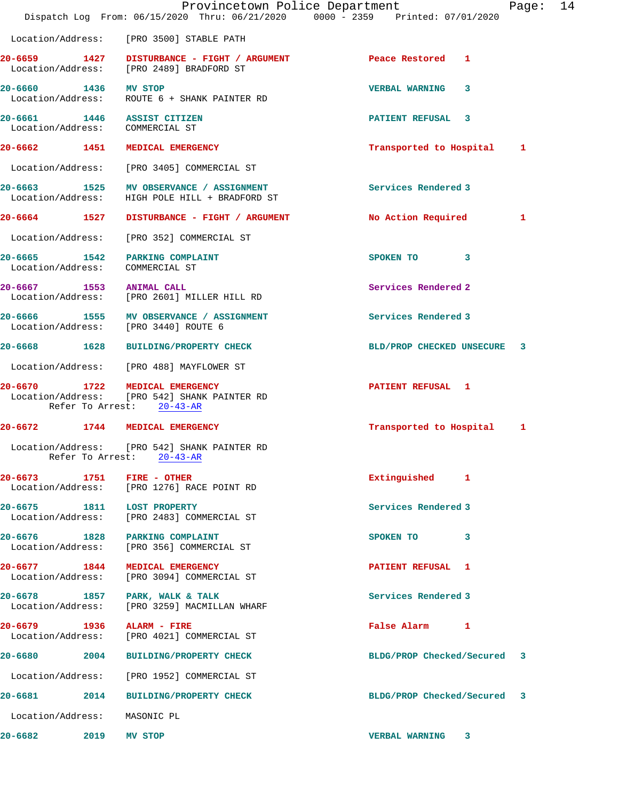|                                   |      | Provincetown Police Department<br>Dispatch Log From: 06/15/2020 Thru: 06/21/2020 0000 - 2359 Printed: 07/01/2020 |                             |   | Page: | 14 |
|-----------------------------------|------|------------------------------------------------------------------------------------------------------------------|-----------------------------|---|-------|----|
| Location/Address:                 |      | [PRO 3500] STABLE PATH                                                                                           |                             |   |       |    |
|                                   |      | 20-6659 1427 DISTURBANCE - FIGHT / ARGUMENT<br>Location/Address: [PRO 2489] BRADFORD ST                          | Peace Restored 1            |   |       |    |
| 20-6660 1436 MV STOP              |      | Location/Address: ROUTE 6 + SHANK PAINTER RD                                                                     | <b>VERBAL WARNING</b>       | 3 |       |    |
| Location/Address: COMMERCIAL ST   |      | 20-6661 1446 ASSIST CITIZEN                                                                                      | PATIENT REFUSAL 3           |   |       |    |
| 20-6662 1451                      |      | MEDICAL EMERGENCY                                                                                                | Transported to Hospital     |   | 1     |    |
|                                   |      | Location/Address: [PRO 3405] COMMERCIAL ST                                                                       |                             |   |       |    |
| 20-6663 1525<br>Location/Address: |      | MV OBSERVANCE / ASSIGNMENT<br>HIGH POLE HILL + BRADFORD ST                                                       | Services Rendered 3         |   |       |    |
|                                   |      | 20-6664 1527 DISTURBANCE - FIGHT / ARGUMENT                                                                      | No Action Required          |   | 1     |    |
|                                   |      | Location/Address: [PRO 352] COMMERCIAL ST                                                                        |                             |   |       |    |
| Location/Address: COMMERCIAL ST   |      | 20-6665 1542 PARKING COMPLAINT                                                                                   | SPOKEN TO                   | 3 |       |    |
| 20-6667 1553 ANIMAL CALL          |      | Location/Address: [PRO 2601] MILLER HILL RD                                                                      | Services Rendered 2         |   |       |    |
|                                   |      | 20-6666 1555 MV OBSERVANCE / ASSIGNMENT<br>Location/Address: [PRO 3440] ROUTE 6                                  | Services Rendered 3         |   |       |    |
|                                   |      | 20-6668 1628 BUILDING/PROPERTY CHECK                                                                             | BLD/PROP CHECKED UNSECURE   |   | 3     |    |
|                                   |      | Location/Address: [PRO 488] MAYFLOWER ST                                                                         |                             |   |       |    |
| $20 - 6670$                       | 1722 | MEDICAL EMERGENCY<br>Location/Address: [PRO 542] SHANK PAINTER RD<br>Refer To Arrest: 20-43-AR                   | <b>PATIENT REFUSAL 1</b>    |   |       |    |
| 20-6672                           | 1744 | MEDICAL EMERGENCY                                                                                                | Transported to Hospital     |   | 1     |    |
|                                   |      | Location/Address: [PRO 542] SHANK PAINTER RD<br>Refer To Arrest: 20-43-AR                                        |                             |   |       |    |
| 20-6673 1751                      |      | FIRE - OTHER<br>Location/Address: [PRO 1276] RACE POINT RD                                                       | Extinguished 1              |   |       |    |
| 20-6675 1811 LOST PROPERTY        |      | Location/Address: [PRO 2483] COMMERCIAL ST                                                                       | Services Rendered 3         |   |       |    |
|                                   |      | 20-6676 1828 PARKING COMPLAINT<br>Location/Address: [PRO 356] COMMERCIAL ST                                      | SPOKEN TO 3                 |   |       |    |
|                                   |      | 20-6677 1844 MEDICAL EMERGENCY<br>Location/Address: [PRO 3094] COMMERCIAL ST                                     | PATIENT REFUSAL 1           |   |       |    |
| Location/Address:                 |      | 20-6678 1857 PARK, WALK & TALK<br>[PRO 3259] MACMILLAN WHARF                                                     | Services Rendered 3         |   |       |    |
| 20-6679 1936                      |      | <b>ALARM - FIRE</b><br>Location/Address: [PRO 4021] COMMERCIAL ST                                                | False Alarm 1               |   |       |    |
| 20-6680 2004                      |      | <b>BUILDING/PROPERTY CHECK</b>                                                                                   | BLDG/PROP Checked/Secured   |   | -3    |    |
| Location/Address:                 |      | [PRO 1952] COMMERCIAL ST                                                                                         |                             |   |       |    |
| 20-6681                           | 2014 | <b>BUILDING/PROPERTY CHECK</b>                                                                                   | BLDG/PROP Checked/Secured 3 |   |       |    |
| Location/Address:                 |      | MASONIC PL                                                                                                       |                             |   |       |    |
| 20-6682                           | 2019 | MV STOP                                                                                                          | <b>VERBAL WARNING</b>       | 3 |       |    |